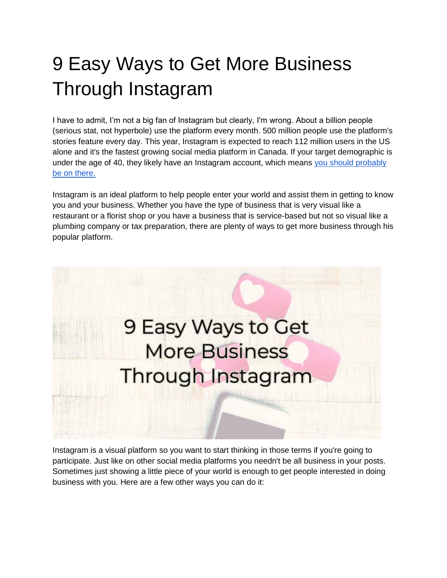# 9 Easy Ways to Get More Business Through Instagram

I have to admit, I'm not a big fan of Instagram but clearly, I'm wrong. About a billion people (serious stat, not hyperbole) use the platform every month. 500 million people use the platform's stories feature every day. This year, Instagram is expected to reach 112 million users in the US alone and it's the fastest growing social media platform in Canada. If your target demographic is under the age of 40, they likely have an Instagram account, which means you should probably [be on there.](https://blog.hootsuite.com/instagram-statistics/)

Instagram is an ideal platform to help people enter your world and assist them in getting to know you and your business. Whether you have the type of business that is very visual like a restaurant or a florist shop or you have a business that is service-based but not so visual like a plumbing company or tax preparation, there are plenty of ways to get more business through his popular platform.



Instagram is a visual platform so you want to start thinking in those terms if you're going to participate. Just like on other social media platforms you needn't be all business in your posts. Sometimes just showing a little piece of your world is enough to get people interested in doing business with you. Here are a few other ways you can do it: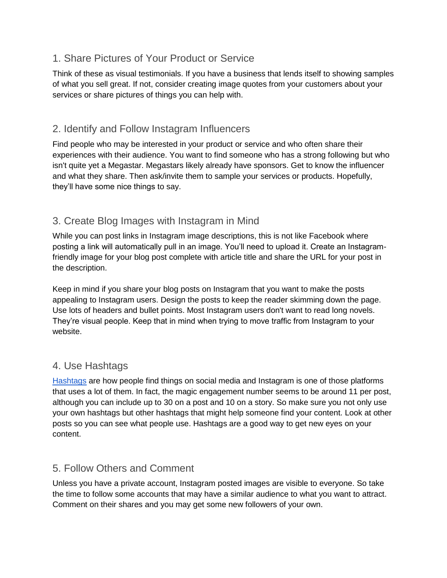## 1. Share Pictures of Your Product or Service

Think of these as visual testimonials. If you have a business that lends itself to showing samples of what you sell great. If not, consider creating image quotes from your customers about your services or share pictures of things you can help with.

## 2. Identify and Follow Instagram Influencers

Find people who may be interested in your product or service and who often share their experiences with their audience. You want to find someone who has a strong following but who isn't quite yet a Megastar. Megastars likely already have sponsors. Get to know the influencer and what they share. Then ask/invite them to sample your services or products. Hopefully, they'll have some nice things to say.

# 3. Create Blog Images with Instagram in Mind

While you can post links in Instagram image descriptions, this is not like Facebook where posting a link will automatically pull in an image. You'll need to upload it. Create an Instagramfriendly image for your blog post complete with article title and share the URL for your post in the description.

Keep in mind if you share your blog posts on Instagram that you want to make the posts appealing to Instagram users. Design the posts to keep the reader skimming down the page. Use lots of headers and bullet points. Most Instagram users don't want to read long novels. They're visual people. Keep that in mind when trying to move traffic from Instagram to your website.

## 4. Use Hashtags

[Hashtags](https://blog.hootsuite.com/instagram-hashtags/) are how people find things on social media and Instagram is one of those platforms that uses a lot of them. In fact, the magic engagement number seems to be around 11 per post, although you can include up to 30 on a post and 10 on a story. So make sure you not only use your own hashtags but other hashtags that might help someone find your content. Look at other posts so you can see what people use. Hashtags are a good way to get new eyes on your content.

# 5. Follow Others and Comment

Unless you have a private account, Instagram posted images are visible to everyone. So take the time to follow some accounts that may have a similar audience to what you want to attract. Comment on their shares and you may get some new followers of your own.